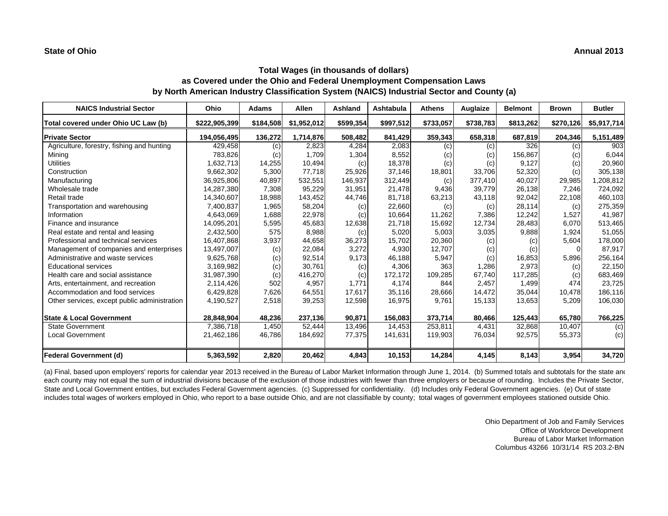# **Total Wages (in thousands of dollars) as Covered under the Ohio and Federal Unemployment Compensation Laws by North American Industry Classification System (NAICS) Industrial Sector and County (a)**

| <b>NAICS Industrial Sector</b>               | Ohio          | <b>Adams</b> | Allen       | Ashland   | Ashtabula | <b>Athens</b> | Auglaize  | <b>Belmont</b> | <b>Brown</b>      | <b>Butler</b> |
|----------------------------------------------|---------------|--------------|-------------|-----------|-----------|---------------|-----------|----------------|-------------------|---------------|
| Total covered under Ohio UC Law (b)          | \$222,905,399 | \$184,508    | \$1,952,012 | \$599,354 | \$997,512 | \$733,057     | \$738,783 | \$813,262      | \$270,126         | \$5,917,714   |
| <b>Private Sector</b>                        | 194,056,495   | 136,272      | 1.714.876   | 508,482   | 841,429   | 359,343       | 658,318   | 687,819        | 204,346           | 5,151,489     |
| Agriculture, forestry, fishing and hunting   | 429,458       | (c)          | 2,823       | 4,284     | 2,083     | (c)           | (c)       | 326            | $\left( c\right)$ | 903           |
| Mining                                       | 783,826       | (c)          | 1,709       | 1,304     | 8,552     | (c)           | (c)       | 156,867        | (c)               | 6,044         |
| <b>Utilities</b>                             | 1,632,713     | 14,255       | 10,494      | (c)       | 18,378    | (c)           | (c)       | 9,127          | (c)               | 20,960        |
| Construction                                 | 9,662,302     | 5,300        | 77,718      | 25,926    | 37.146    | 18,801        | 33,706    | 52,320         | (c)               | 305,138       |
| Manufacturing                                | 36,925,806    | 40,897       | 532,551     | 146,937   | 312,449   | (c)           | 377,410   | 40,027         | 29,985            | 1,208,812     |
| Wholesale trade                              | 14,287,380    | 7,308        | 95,229      | 31,951    | 21,478    | 9,436         | 39,779    | 26,138         | 7,246             | 724,092       |
| Retail trade                                 | 14,340,607    | 18,988       | 143,452     | 44,746    | 81,718    | 63,213        | 43,118    | 92,042         | 22,108            | 460,103       |
| Transportation and warehousing               | 7,400,837     | 1,965        | 58,204      | (c)       | 22,660    | (c)           | (c)       | 28,114         | (c)               | 275,359       |
| Information                                  | 4,643,069     | 1,688        | 22,978      | (c)       | 10.664    | 11.262        | 7,386     | 12.242         | 1.527             | 41,987        |
| Finance and insurance                        | 14,095,201    | 5,595        | 45,683      | 12,638    | 21.718    | 15,692        | 12,734    | 28,483         | 6,070             | 513,465       |
| Real estate and rental and leasing           | 2,432,500     | 575          | 8,988       | (c)       | 5,020     | 5,003         | 3,035     | 9,888          | 1,924             | 51,055        |
| Professional and technical services          | 16,407,868    | 3,937        | 44,658      | 36,273    | 15,702    | 20,360        | (c)       | (c)            | 5,604             | 178,000       |
| Management of companies and enterprises      | 13,497,007    | (c)          | 22,084      | 3,272     | 4,930     | 12,707        | (c)       | (c)            | $\Omega$          | 87,917        |
| Administrative and waste services            | 9,625,768     | (c)          | 92,514      | 9,173     | 46,188    | 5,947         | (c)       | 16,853         | 5,896             | 256,164       |
| <b>Educational services</b>                  | 3,169,982     | (c)          | 30,761      | (c)       | 4,306     | 363           | 1,286     | 2,973          | (c)               | 22,150        |
| Health care and social assistance            | 31,987,390    | (c)          | 416,270     | (c)       | 172,172   | 109,285       | 67,740    | 117,285        | (c)               | 683,469       |
| Arts, entertainment, and recreation          | 2,114,426     | 502          | 4,957       | 1.771     | 4,174     | 844           | 2,457     | 1,499          | 474               | 23,725        |
| Accommodation and food services              | 6,429,828     | 7,626        | 64,551      | 17,617    | 35,116    | 28,666        | 14,472    | 35,044         | 10,478            | 186,116       |
| Other services, except public administration | 4,190,527     | 2,518        | 39,253      | 12,598    | 16,975    | 9,761         | 15,133    | 13,653         | 5,209             | 106,030       |
| <b>State &amp; Local Government</b>          | 28,848,904    | 48,236       | 237,136     | 90,871    | 156,083   | 373,714       | 80,466    | 125,443        | 65,780            | 766,225       |
| <b>State Government</b>                      | 7,386,718     | 1,450        | 52,444      | 13,496    | 14,453    | 253,811       | 4,431     | 32,868         | 10,407            | (c)           |
| <b>Local Government</b>                      | 21,462,186    | 46,786       | 184,692     | 77,375    | 141,631   | 119,903       | 76,034    | 92,575         | 55,373            | (c)           |
| <b>Federal Government (d)</b>                | 5,363,592     | 2,820        | 20,462      | 4,843     | 10,153    | 14,284        | 4,145     | 8,143          | 3,954             | 34,720        |

(a) Final, based upon employers' reports for calendar year 2013 received in the Bureau of Labor Market Information through June 1, 2014. (b) Summed totals and subtotals for the state and each county may not equal the sum of industrial divisions because of the exclusion of those industries with fewer than three employers or because of rounding. Includes the Private Sector, State and Local Government entities, but excludes Federal Government agencies. (c) Suppressed for confidentiality. (d) Includes only Federal Government agencies. (e) Out of state includes total wages of workers employed in Ohio, who report to a base outside Ohio, and are not classifiable by county; total wages of government employees stationed outside Ohio.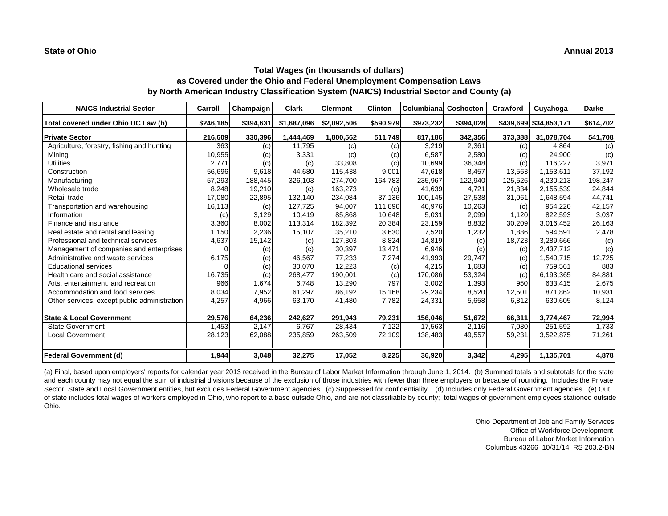| <b>NAICS Industrial Sector</b>               | Carroll   | Champaign | Clark       | <b>Clermont</b> | <b>Clinton</b> | Columbiana | Coshocton | Crawford | Cuyahoga               | <b>Darke</b> |
|----------------------------------------------|-----------|-----------|-------------|-----------------|----------------|------------|-----------|----------|------------------------|--------------|
| Total covered under Ohio UC Law (b)          | \$246,185 | \$394,631 | \$1,687,096 | \$2,092,506     | \$590,979      | \$973,232  | \$394,028 |          | \$439,699 \$34,853,171 | \$614,702    |
| <b>Private Sector</b>                        | 216,609   | 330,396   | 1,444,469   | 1,800,562       | 511,749        | 817,186    | 342,356   | 373,388  | 31,078,704             | 541,708      |
| Agriculture, forestry, fishing and hunting   | 363       | (c)       | 11,795      | (c)             | (c)            | 3,219      | 2.361     | (c)      | 4.864                  | (c)          |
| Mining                                       | 10,955    | (c)       | 3,331       | (c)             | (c)            | 6,587      | 2,580     | (c)      | 24,900                 | (c)          |
| <b>Utilities</b>                             | 2,771     | (c)       | (c)         | 33,808          | (c)            | 10,699     | 36,348    | (c)      | 116,227                | 3,971        |
| Construction                                 | 56,696    | 9,618     | 44,680      | 115,438         | 9,001          | 47,618     | 8,457     | 13,563   | 1,153,611              | 37,192       |
| Manufacturing                                | 57,293    | 188,445   | 326,103     | 274,700         | 164,783        | 235,967    | 122,940   | 125,526  | 4,230,213              | 198,247      |
| Wholesale trade                              | 8,248     | 19,210    | (c)         | 163,273         | (c)            | 41,639     | 4,721     | 21,834   | 2,155,539              | 24,844       |
| Retail trade                                 | 17,080    | 22,895    | 132,140     | 234,084         | 37.136         | 100,145    | 27,538    | 31,061   | 1,648,594              | 44,741       |
| Transportation and warehousing               | 16,113    | (c)       | 127,725     | 94,007          | 111,896        | 40,976     | 10,263    | (c)      | 954,220                | 42,157       |
| Information                                  | (c)       | 3,129     | 10,419      | 85,868          | 10,648         | 5,031      | 2,099     | 1,120    | 822,593                | 3,037        |
| Finance and insurance                        | 3,360     | 8.002     | 113,314     | 182,392         | 20,384         | 23,159     | 8,832     | 30,209   | 3,016,452              | 26,163       |
| Real estate and rental and leasing           | 1,150     | 2,236     | 15,107      | 35,210          | 3,630          | 7,520      | 1,232     | 1,886    | 594,591                | 2,478        |
| Professional and technical services          | 4,637     | 15,142    | (c)         | 127,303         | 8,824          | 14,819     | (c)       | 18,723   | 3,289,666              | (c)          |
| Management of companies and enterprises      |           | (c)       | (c)         | 30,397          | 13,471         | 6,946      | (c)       | (c)      | 2,437,712              | (c)          |
| Administrative and waste services            | 6,175     | (c)       | 46,567      | 77,233          | 7,274          | 41,993     | 29,747    | (c)      | 1,540,715              | 12,725       |
| <b>Educational services</b>                  |           | (c)       | 30,070      | 12,223          | (c)            | 4,215      | 1,683     | (c)      | 759,561                | 883          |
| Health care and social assistance            | 16,735    | (c)       | 268.477     | 190,001         | (c)            | 170,086    | 53,324    | (c)      | 6,193,365              | 84,881       |
| Arts, entertainment, and recreation          | 966       | 1.674     | 6.748       | 13,290          | 797            | 3,002      | 1,393     | 950      | 633,415                | 2,675        |
| Accommodation and food services              | 8,034     | 7,952     | 61,297      | 86,192          | 15,168         | 29,234     | 8,520     | 12,501   | 871,862                | 10,931       |
| Other services, except public administration | 4,257     | 4,966     | 63,170      | 41,480          | 7,782          | 24,331     | 5,658     | 6,812    | 630,605                | 8,124        |
| <b>State &amp; Local Government</b>          | 29,576    | 64,236    | 242,627     | 291,943         | 79,231         | 156,046    | 51,672    | 66,311   | 3,774,467              | 72,994       |
| <b>State Government</b>                      | 1,453     | 2,147     | 6,767       | 28,434          | 7,122          | 17,563     | 2,116     | 7,080    | 251,592                | 1,733        |
| <b>Local Government</b>                      | 28,123    | 62,088    | 235,859     | 263,509         | 72,109         | 138.483    | 49,557    | 59,231   | 3,522,875              | 71,261       |
| <b>Federal Government (d)</b>                | 1,944     | 3,048     | 32,275      | 17,052          | 8,225          | 36,920     | 3,342     | 4,295    | 1,135,701              | 4,878        |

(a) Final, based upon employers' reports for calendar year 2013 received in the Bureau of Labor Market Information through June 1, 2014. (b) Summed totals and subtotals for the state and each county may not equal the sum of industrial divisions because of the exclusion of those industries with fewer than three employers or because of rounding. Includes the Private Sector, State and Local Government entities, but excludes Federal Government agencies. (c) Suppressed for confidentiality. (d) Includes only Federal Government agencies. (e) Out of state includes total wages of workers employed in Ohio, who report to a base outside Ohio, and are not classifiable by county; total wages of government employees stationed outside Ohio.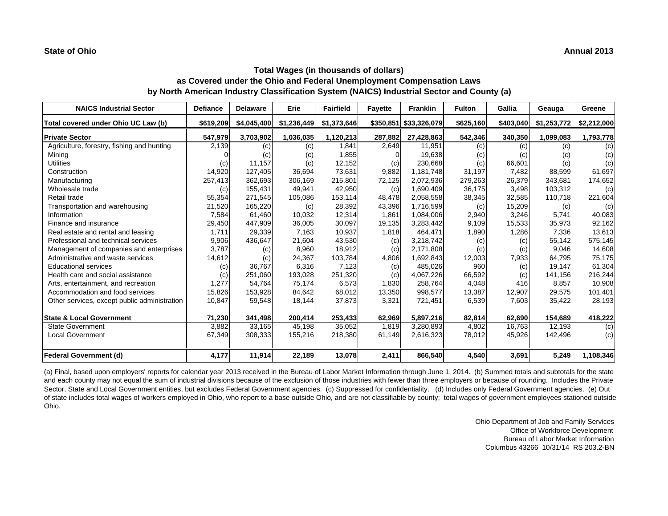| <b>NAICS Industrial Sector</b>               | <b>Defiance</b> | <b>Delaware</b> | Erie        | <b>Fairfield</b> | <b>Fayette</b> | <b>Franklin</b>        | <b>Fulton</b> | Gallia    | Geauga      | Greene      |
|----------------------------------------------|-----------------|-----------------|-------------|------------------|----------------|------------------------|---------------|-----------|-------------|-------------|
| Total covered under Ohio UC Law (b)          | \$619,209       | \$4,045,400     | \$1,236,449 | \$1,373,646      |                | \$350,851 \$33,326,079 | \$625,160     | \$403,040 | \$1,253,772 | \$2,212,000 |
| <b>Private Sector</b>                        | 547,979         | 3,703,902       | 1,036,035   | 1,120,213        | 287,882        | 27,428,863             | 542,346       | 340,350   | 1,099,083   | 1,793,778   |
| Agriculture, forestry, fishing and hunting   | 2,139           | (c)             | (c)         | 1,841            | 2,649          | 11.951                 | (c)           | (c)       | (c)         | (c)         |
| Mining                                       |                 | (c)             | (c)         | 1,855            | $\Omega$       | 19,638                 | (c)           | (c)       | (c)         | (c)         |
| <b>Utilities</b>                             | (c)             | 11,157          | (c)         | 12,152           | (c)            | 230,668                | (c)           | 66,601    | (c)         | (c)         |
| Construction                                 | 14,920          | 127.405         | 36,694      | 73,631           | 9,882          | 1.181.748              | 31,197        | 7.482     | 88,599      | 61,697      |
| Manufacturing                                | 257,413         | 362,693         | 306,169     | 215,801          | 72,125         | 2,072,936              | 279,263       | 26,379    | 343,681     | 174,652     |
| Wholesale trade                              | (c)             | 155,431         | 49,941      | 42,950           | (c)            | 1,690,409              | 36,175        | 3,498     | 103,312     | (c)         |
| Retail trade                                 | 55,354          | 271,545         | 105,086     | 153,114          | 48,478         | 2,058,558              | 38,345        | 32,585    | 110,718     | 221,604     |
| Transportation and warehousing               | 21,520          | 165,220         | (c)         | 28,392           | 43,396         | 1,716,599              | (c)           | 15,209    | (c)         | (c)         |
| Information                                  | 7,584           | 61,460          | 10,032      | 12,314           | 1,861          | 1,084,006              | 2,940         | 3,246     | 5,741       | 40,083      |
| Finance and insurance                        | 29,450          | 447,909         | 36,005      | 30,097           | 19,135         | 3,283,442              | 9,109         | 15,533    | 35,973      | 92,162      |
| Real estate and rental and leasing           | 1,711           | 29,339          | 7,163       | 10,937           | 1,818          | 464,471                | 1,890         | 1,286     | 7,336       | 13,613      |
| Professional and technical services          | 9,906           | 436.647         | 21,604      | 43,530           | (c)            | 3,218,742              | (c)           | (c)       | 55,142      | 575,145     |
| Management of companies and enterprises      | 3,787           | (c)             | 8,960       | 18,912           | (c)            | 2,171,808              | (c)           | (c)       | 9,046       | 14,608      |
| Administrative and waste services            | 14,612          | (c)             | 24,367      | 103,784          | 4,806          | 1,692,843              | 12,003        | 7,933     | 64.795      | 75,175      |
| <b>Educational services</b>                  | (c)             | 36.767          | 6,316       | 7,123            | (c)            | 485,026                | 960           | (c)       | 19.147      | 61,304      |
| Health care and social assistance            | (c)             | 251,060         | 193,028     | 251,320          | (c)            | 4,067,226              | 66,592        | (c)       | 141,156     | 216,244     |
| Arts, entertainment, and recreation          | 1,277           | 54.764          | 75,174      | 6,573            | 1,830          | 258,764                | 4,048         | 416       | 8,857       | 10,908      |
| Accommodation and food services              | 15,826          | 153,928         | 84,642      | 68,012           | 13,350         | 998,577                | 13,387        | 12,907    | 29,575      | 101,401     |
| Other services, except public administration | 10,847          | 59,548          | 18,144      | 37,873           | 3,321          | 721,451                | 6,539         | 7,603     | 35,422      | 28,193      |
| <b>State &amp; Local Government</b>          | 71,230          | 341,498         | 200,414     | 253,433          | 62,969         | 5,897,216              | 82,814        | 62,690    | 154,689     | 418,222     |
| <b>State Government</b>                      | 3,882           | 33,165          | 45,198      | 35,052           | 1,819          | 3,280,893              | 4,802         | 16,763    | 12,193      | (c)         |
| <b>Local Government</b>                      | 67,349          | 308,333         | 155,216     | 218,380          | 61,149         | 2,616,323              | 78,012        | 45,926    | 142,496     | (c)         |
| <b>Federal Government (d)</b>                | 4,177           | 11,914          | 22,189      | 13,078           | 2,411          | 866,540                | 4,540         | 3,691     | 5,249       | 1,108,346   |

(a) Final, based upon employers' reports for calendar year 2013 received in the Bureau of Labor Market Information through June 1, 2014. (b) Summed totals and subtotals for the state and each county may not equal the sum of industrial divisions because of the exclusion of those industries with fewer than three employers or because of rounding. Includes the Private Sector, State and Local Government entities, but excludes Federal Government agencies. (c) Suppressed for confidentiality. (d) Includes only Federal Government agencies. (e) Out of state includes total wages of workers employed in Ohio, who report to a base outside Ohio, and are not classifiable by county; total wages of government employees stationed outside Ohio.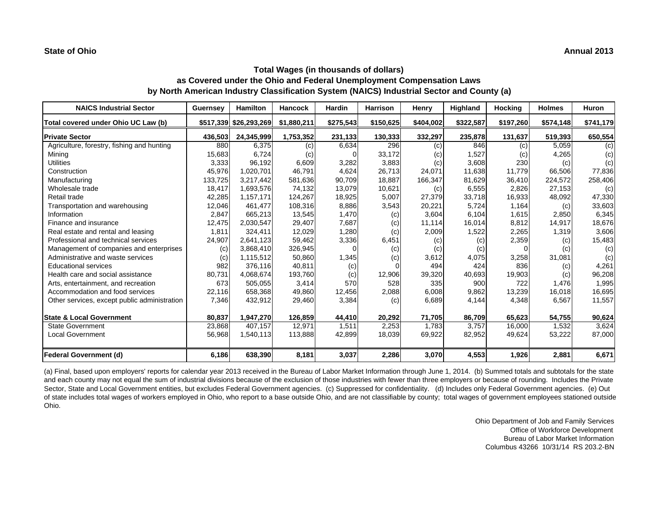| <b>NAICS Industrial Sector</b>               | <b>Guernsey</b> | <b>Hamilton</b>        | <b>Hancock</b> | <b>Hardin</b> | <b>Harrison</b> | Henry     | Highland  | <b>Hocking</b> | <b>Holmes</b> | <b>Huron</b> |
|----------------------------------------------|-----------------|------------------------|----------------|---------------|-----------------|-----------|-----------|----------------|---------------|--------------|
| Total covered under Ohio UC Law (b)          |                 | \$517,339 \$26,293,269 | \$1,880,211    | \$275,543     | \$150,625       | \$404,002 | \$322,587 | \$197,260      | \$574,148     | \$741,179    |
| <b>Private Sector</b>                        | 436,503         | 24,345,999             | 1,753,352      | 231,133       | 130,333         | 332,297   | 235,878   | 131,637        | 519,393       | 650,554      |
| Agriculture, forestry, fishing and hunting   | 880             | 6,375                  | (c)            | 6,634         | 296             | (c)       | 846       | (c)            | 5,059         | (c)          |
| Mining                                       | 15,683          | 6,724                  | (c)            |               | 33,172          | (c)       | 1,527     | (c)            | 4,265         | (c)          |
| <b>Utilities</b>                             | 3,333           | 96,192                 | 6,609          | 3,282         | 3,883           | (c)       | 3,608     | 230            | (c)           | (c)          |
| Construction                                 | 45,976          | 1,020,701              | 46,791         | 4,624         | 26,713          | 24,071    | 11,638    | 11,779         | 66,506        | 77,836       |
| Manufacturing                                | 133,725         | 3,217,442              | 581,636        | 90,709        | 18,887          | 166,347   | 81,629    | 36,410         | 224,572       | 258,406      |
| Wholesale trade                              | 18,417          | 1,693,576              | 74.132         | 13,079        | 10,621          | (c)       | 6,555     | 2,826          | 27,153        | (c)          |
| Retail trade                                 | 42,285          | 1,157,171              | 124,267        | 18,925        | 5,007           | 27,379    | 33,718    | 16,933         | 48,092        | 47,330       |
| Transportation and warehousing               | 12,046          | 461.477                | 108,316        | 8,886         | 3,543           | 20,221    | 5,724     | 1,164          | (c)           | 33,603       |
| Information                                  | 2,847           | 665,213                | 13,545         | 1,470         | (c)             | 3,604     | 6,104     | 1,615          | 2,850         | 6,345        |
| Finance and insurance                        | 12,475          | 2,030,547              | 29,407         | 7,687         | (c)             | 11,114    | 16,014    | 8,812          | 14,917        | 18,676       |
| Real estate and rental and leasing           | 1,811           | 324,411                | 12,029         | 1,280         | (c)             | 2,009     | 1,522     | 2,265          | 1,319         | 3,606        |
| Professional and technical services          | 24,907          | 2,641,123              | 59,462         | 3,336         | 6,451           | (c)       | (c)       | 2,359          | (c)           | 15,483       |
| Management of companies and enterprises      | (c)             | 3,868,410              | 326,945        | $\Omega$      | (c)             | (c)       | (c)       |                | (c)           | (c)          |
| Administrative and waste services            | (c)             | 1,115,512              | 50,860         | 1,345         | (c)             | 3,612     | 4,075     | 3,258          | 31,081        | (c)          |
| <b>Educational services</b>                  | 982             | 376.116                | 40,811         | (c)           |                 | 494       | 424       | 836            | (c)           | 4,261        |
| Health care and social assistance            | 80,731          | 4,068,674              | 193,760        | (c)           | 12,906          | 39,320    | 40,693    | 19,903         | (c)           | 96,208       |
| Arts, entertainment, and recreation          | 673             | 505,055                | 3,414          | 570           | 528             | 335       | 900       | 722            | 1.476         | 1,995        |
| Accommodation and food services              | 22,116          | 658,368                | 49,860         | 12,456        | 2,088           | 6,008     | 9,862     | 13,239         | 16,018        | 16,695       |
| Other services, except public administration | 7,346           | 432,912                | 29,460         | 3,384         | (c)             | 6,689     | 4,144     | 4,348          | 6,567         | 11,557       |
| <b>State &amp; Local Government</b>          | 80,837          | 1,947,270              | 126,859        | 44,410        | 20,292          | 71,705    | 86,709    | 65,623         | 54,755        | 90,624       |
| <b>State Government</b>                      | 23,868          | 407,157                | 12,971         | 1,511         | 2,253           | 1,783     | 3,757     | 16,000         | 1,532         | 3,624        |
| <b>Local Government</b>                      | 56,968          | 1,540,113              | 113,888        | 42,899        | 18,039          | 69,922    | 82,952    | 49,624         | 53,222        | 87,000       |
| <b>Federal Government (d)</b>                | 6,186           | 638,390                | 8,181          | 3,037         | 2,286           | 3,070     | 4,553     | 1,926          | 2,881         | 6,671        |

(a) Final, based upon employers' reports for calendar year 2013 received in the Bureau of Labor Market Information through June 1, 2014. (b) Summed totals and subtotals for the state and each county may not equal the sum of industrial divisions because of the exclusion of those industries with fewer than three employers or because of rounding. Includes the Private Sector, State and Local Government entities, but excludes Federal Government agencies. (c) Suppressed for confidentiality. (d) Includes only Federal Government agencies. (e) Out of state includes total wages of workers employed in Ohio, who report to a base outside Ohio, and are not classifiable by county; total wages of government employees stationed outside Ohio.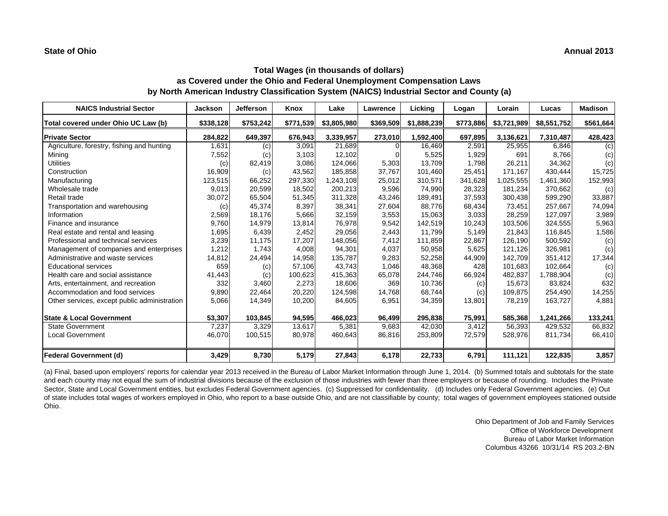| <b>NAICS Industrial Sector</b>               | <b>Jackson</b> | <b>Jefferson</b> | Knox      | Lake        | Lawrence  | Licking     | Logan     | Lorain      | Lucas       | <b>Madison</b> |
|----------------------------------------------|----------------|------------------|-----------|-------------|-----------|-------------|-----------|-------------|-------------|----------------|
| Total covered under Ohio UC Law (b)          | \$338,128      | \$753,242        | \$771,539 | \$3,805,980 | \$369,509 | \$1,888,239 | \$773,886 | \$3,721,989 | \$8,551,752 | \$561,664      |
| <b>Private Sector</b>                        | 284,822        | 649,397          | 676,943   | 3,339,957   | 273,010   | 1,592,400   | 697,895   | 3,136,621   | 7,310,487   | 428,423        |
| Agriculture, forestry, fishing and hunting   | 1,631          | (c)              | 3,091     | 21,689      |           | 16,469      | 2,591     | 25,955      | 6,846       | (c)            |
| Mining                                       | 7,552          | (c)              | 3,103     | 12,102      |           | 5,525       | 1,929     | 691         | 8.766       | (c)            |
| <b>Utilities</b>                             | (c)            | 82,419           | 3,086     | 124,066     | 5,303     | 13,709      | 1,798     | 26,211      | 34,362      | (c)            |
| Construction                                 | 16,909         | (c)              | 43,562    | 185,858     | 37,767    | 101,460     | 25,451    | 171,167     | 430,444     | 15,725         |
| Manufacturing                                | 123,515        | 66,252           | 297,330   | 1,243,108   | 25,012    | 310,571     | 341,628   | 1,025,555   | 1,461,360   | 152,993        |
| Wholesale trade                              | 9,013          | 20,599           | 18,502    | 200,213     | 9,596     | 74,990      | 28,323    | 181,234     | 370,662     | (c)            |
| Retail trade                                 | 30,072         | 65,504           | 51,345    | 311,328     | 43,246    | 189,491     | 37,593    | 300,438     | 599,290     | 33,887         |
| Transportation and warehousing               | (c)            | 45,374           | 8,397     | 38,341      | 27,604    | 88,776      | 68,434    | 73,451      | 257,667     | 74,094         |
| Information                                  | 2,569          | 18,176           | 5,666     | 32,159      | 3,553     | 15,063      | 3,033     | 28,259      | 127,097     | 3,989          |
| Finance and insurance                        | 9,760          | 14,979           | 13,814    | 76,978      | 9,542     | 142,519     | 10,243    | 103,506     | 324,555     | 5,963          |
| Real estate and rental and leasing           | 1,695          | 6,439            | 2,452     | 29,056      | 2,443     | 11,799      | 5,149     | 21,843      | 116,845     | 1,586          |
| Professional and technical services          | 3,239          | 11,175           | 17,207    | 148,056     | 7,412     | 111,859     | 22,867    | 126.190     | 500,592     | (c)            |
| Management of companies and enterprises      | 1,212          | 1,743            | 4,008     | 94,301      | 4,037     | 50,958      | 5,625     | 121,126     | 326,981     | (c)            |
| Administrative and waste services            | 14,812         | 24,494           | 14,958    | 135,787     | 9,283     | 52,258      | 44,909    | 142.709     | 351,412     | 17,344         |
| <b>Educational services</b>                  | 659            | (c)              | 57,106    | 43,743      | 1,046     | 48,368      | 428       | 101,683     | 102,664     | (c)            |
| Health care and social assistance            | 41,443         | (c)              | 100,623   | 415,363     | 65,078    | 244,746     | 66,924    | 482,837     | 1,788,904   | (c)            |
| Arts, entertainment, and recreation          | 332            | 3,460            | 2,273     | 18,606      | 369       | 10,736      | (c)       | 15,673      | 83,824      | 632            |
| Accommodation and food services              | 9,890          | 22,464           | 20,220    | 124,598     | 14,768    | 68,744      | (c)       | 109.875     | 254,490     | 14,255         |
| Other services, except public administration | 5,066          | 14,349           | 10,200    | 84,605      | 6,951     | 34,359      | 13,801    | 78,219      | 163,727     | 4,881          |
| <b>State &amp; Local Government</b>          | 53,307         | 103,845          | 94,595    | 466.023     | 96,499    | 295,838     | 75,991    | 585,368     | 1,241,266   | 133,241        |
| <b>State Government</b>                      | 7,237          | 3,329            | 13,617    | 5,381       | 9,683     | 42,030      | 3,412     | 56,393      | 429,532     | 66,832         |
| <b>Local Government</b>                      | 46,070         | 100,515          | 80,978    | 460,643     | 86,816    | 253,809     | 72,579    | 528,976     | 811,734     | 66,410         |
| <b>Federal Government (d)</b>                | 3,429          | 8,730            | 5,179     | 27,843      | 6,178     | 22,733      | 6,791     | 111,121     | 122,835     | 3,857          |

(a) Final, based upon employers' reports for calendar year 2013 received in the Bureau of Labor Market Information through June 1, 2014. (b) Summed totals and subtotals for the state and each county may not equal the sum of industrial divisions because of the exclusion of those industries with fewer than three employers or because of rounding. Includes the Private Sector, State and Local Government entities, but excludes Federal Government agencies. (c) Suppressed for confidentiality. (d) Includes only Federal Government agencies. (e) Out of state includes total wages of workers employed in Ohio, who report to a base outside Ohio, and are not classifiable by county; total wages of government employees stationed outside Ohio.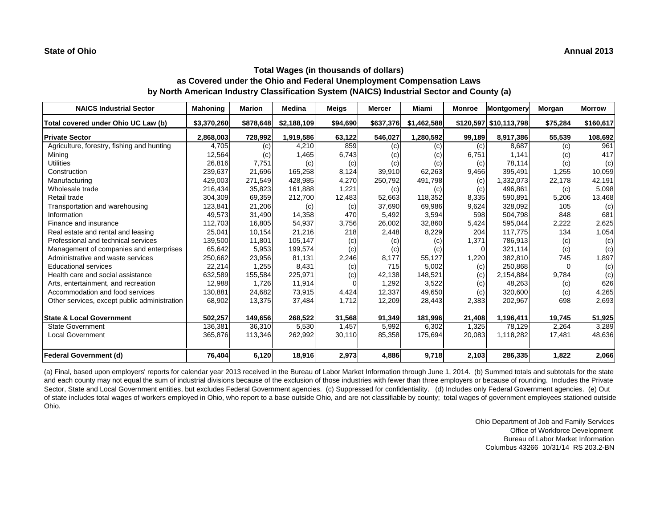# **as Covered under the Ohio and Federal Unemployment Compensation Laws by North American Industry Classification System (NAICS) Industrial Sector and County (a)**

| <b>NAICS Industrial Sector</b>               | <b>Mahoning</b> | <b>Marion</b> | <b>Medina</b> | <b>Meigs</b> | <b>Mercer</b> | Miami       | <b>Monroe</b> | <b>Montgomery</b>      | Morgan   | <b>Morrow</b> |
|----------------------------------------------|-----------------|---------------|---------------|--------------|---------------|-------------|---------------|------------------------|----------|---------------|
| Total covered under Ohio UC Law (b)          | \$3,370,260     | \$878,648     | \$2,188,109   | \$94,690     | \$637,376     | \$1,462,588 |               | \$120,597 \$10,113,798 | \$75,284 | \$160,617     |
| <b>Private Sector</b>                        | 2,868,003       | 728,992       | 1,919,586     | 63,122       | 546,027       | 1,280,592   | 99,189        | 8,917,386              | 55,539   | 108,692       |
| Agriculture, forestry, fishing and hunting   | 4,705           | (c)           | 4,210         | 859          | (c)           | (c)         | (c)           | 8.687                  | (c)      | 961           |
| Mining                                       | 12,564          | (c)           | 1,465         | 6,743        | (c)           | (c)         | 6,751         | 1,141                  | (c)      | 417           |
| <b>Utilities</b>                             | 26,816          | 7,751         | (c)           | (c)          | (c)           | (c)         | (c)           | 78,114                 | (c)      | (c)           |
| Construction                                 | 239,637         | 21.696        | 165,258       | 8,124        | 39,910        | 62,263      | 9,456         | 395,491                | 1,255    | 10,059        |
| Manufacturing                                | 429,003         | 271,549       | 428,985       | 4,270        | 250,792       | 491,798     | (c)           | 1,332,073              | 22,178   | 42,191        |
| Wholesale trade                              | 216,434         | 35,823        | 161,888       | 1,221        | (c)           | (c)         | (c)           | 496,861                | (c)      | 5,098         |
| Retail trade                                 | 304,309         | 69,359        | 212,700       | 12,483       | 52,663        | 118,352     | 8,335         | 590,891                | 5,206    | 13,468        |
| Transportation and warehousing               | 123,841         | 21,206        | (c)           | (c)          | 37,690        | 69,986      | 9,624         | 328,092                | 105      | (c)           |
| Information                                  | 49,573          | 31,490        | 14,358        | 470          | 5,492         | 3,594       | 598           | 504,798                | 848      | 681           |
| Finance and insurance                        | 112,703         | 16,805        | 54,937        | 3,756        | 26,002        | 32,860      | 5,424         | 595,044                | 2,222    | 2,625         |
| Real estate and rental and leasing           | 25,041          | 10,154        | 21,216        | 218          | 2,448         | 8,229       | 204           | 117,775                | 134      | 1,054         |
| Professional and technical services          | 139,500         | 11,801        | 105,147       | (c)          | (c)           | (c)         | 1,371         | 786,913                | (c)      | (c)           |
| Management of companies and enterprises      | 65,642          | 5,953         | 199,574       | (c)          | (c)           | (c)         | $\Omega$      | 321.114                | (c)      | (c)           |
| Administrative and waste services            | 250,662         | 23,956        | 81,131        | 2,246        | 8,177         | 55,127      | 1,220         | 382,810                | 745      | 1,897         |
| <b>Educational services</b>                  | 22,214          | 1,255         | 8,431         | (c)          | 715           | 5,002       | (c)           | 250,868                |          | (c)           |
| Health care and social assistance            | 632,589         | 155,584       | 225,971       | (c)          | 42,138        | 148,521     | (c)           | 2,154,884              | 9,784    | (c)           |
| Arts, entertainment, and recreation          | 12,988          | 1,726         | 11,914        | $\Omega$     | 1,292         | 3,522       | (c)           | 48,263                 | (c)      | 626           |
| Accommodation and food services              | 130,881         | 24,682        | 73,915        | 4,424        | 12,337        | 49,650      | (c)           | 320,600                | (c)      | 4,265         |
| Other services, except public administration | 68,902          | 13,375        | 37,484        | 1,712        | 12,209        | 28,443      | 2,383         | 202,967                | 698      | 2,693         |
| <b>State &amp; Local Government</b>          | 502,257         | 149,656       | 268,522       | 31,568       | 91,349        | 181,996     | 21,408        | 1,196,411              | 19,745   | 51,925        |
| <b>State Government</b>                      | 136.381         | 36.310        | 5,530         | 1.457        | 5,992         | 6,302       | 1,325         | 78.129                 | 2,264    | 3,289         |
| <b>Local Government</b>                      | 365,876         | 113,346       | 262,992       | 30,110       | 85,358        | 175,694     | 20,083        | 1,118,282              | 17,481   | 48,636        |
| <b>Federal Government (d)</b>                | 76,404          | 6,120         | 18,916        | 2,973        | 4,886         | 9,718       | 2,103         | 286,335                | 1,822    | 2,066         |

(a) Final, based upon employers' reports for calendar year 2013 received in the Bureau of Labor Market Information through June 1, 2014. (b) Summed totals and subtotals for the state and each county may not equal the sum of industrial divisions because of the exclusion of those industries with fewer than three employers or because of rounding. Includes the Private Sector, State and Local Government entities, but excludes Federal Government agencies. (c) Suppressed for confidentiality. (d) Includes only Federal Government agencies. (e) Out of state includes total wages of workers employed in Ohio, who report to a base outside Ohio, and are not classifiable by county; total wages of government employees stationed outside Ohio.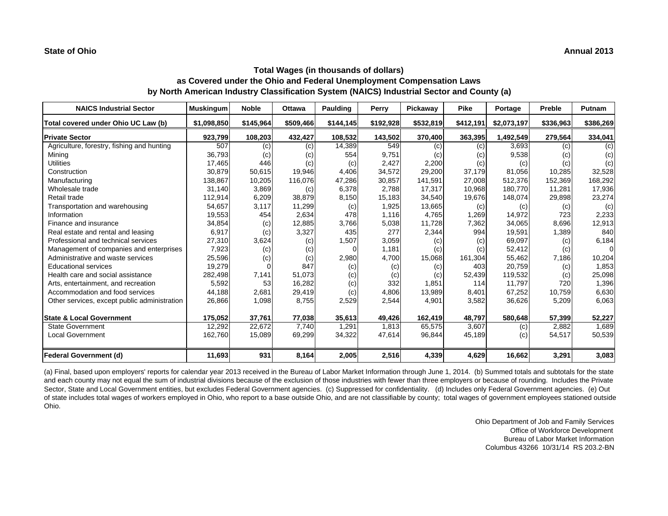| <b>NAICS Industrial Sector</b>               | <b>Muskingum</b> | <b>Noble</b> | <b>Ottawa</b> | Paulding  | Perry     | Pickaway                   | <b>Pike</b> | Portage     | Preble    | Putnam    |
|----------------------------------------------|------------------|--------------|---------------|-----------|-----------|----------------------------|-------------|-------------|-----------|-----------|
| Total covered under Ohio UC Law (b)          | \$1,098,850      | \$145,964    | \$509,466     | \$144,145 | \$192,928 | \$532,819                  | \$412,191   | \$2,073,197 | \$336,963 | \$386,269 |
| <b>Private Sector</b>                        | 923,799          | 108,203      | 432,427       | 108,532   | 143,502   | 370,400                    | 363,395     | 1,492,549   | 279,564   | 334,041   |
| Agriculture, forestry, fishing and hunting   | 507              | (c)          | (c)           | 14,389    | 549       | (c)                        | (c)         | 3,693       | (c)       | (c)       |
| Mining                                       | 36,793           | (c)          | (c)           | 554       | 9,751     | (c)                        | (c)         | 9,538       | (c)       | (c)       |
| <b>Utilities</b>                             | 17,465           | 446          | (c)           | (c)       | 2,427     | 2,200                      | (c)         | (c)         | (c)       | (c)       |
| Construction                                 | 30,879           | 50,615       | 19,946        | 4,406     | 34,572    | 29,200                     | 37,179      | 81,056      | 10,285    | 32,528    |
| Manufacturing                                | 138,867          | 10,205       | 116,076       | 47,286    | 30,857    | 141,591                    | 27,008      | 512.376     | 152,369   | 168,292   |
| Wholesale trade                              | 31,140           | 3,869        | (c)           | 6,378     | 2.788     | 17,317                     | 10.968      | 180.770     | 11,281    | 17,936    |
| Retail trade                                 | 112,914          | 6,209        | 38,879        | 8,150     | 15,183    | 34,540                     | 19,676      | 148,074     | 29,898    | 23,274    |
| Transportation and warehousing               | 54,657           | 3,117        | 11,299        | (c)       | 1,925     | 13,665                     | (c)         | (c)         | (c)       | (c)       |
| Information                                  | 19,553           | 454          | 2,634         | 478       | 1.116     | 4.765                      | 1,269       | 14,972      | 723       | 2,233     |
| Finance and insurance                        | 34,854           | (c)          | 12,885        | 3,766     | 5,038     | 11,728                     | 7,362       | 34,065      | 8,696     | 12,913    |
| Real estate and rental and leasing           | 6,917            | (c)          | 3,327         | 435       | 277       | 2,344                      | 994         | 19,591      | 1,389     | 840       |
| Professional and technical services          | 27,310           | 3,624        | (c)           | 1,507     | 3,059     | $\left( \mathrm{c}\right)$ | (c)         | 69,097      | (c)       | 6,184     |
| Management of companies and enterprises      | 7,923            | (c)          | (c)           | $\Omega$  | 1,181     | (c)                        | (c)         | 52,412      | (c)       | $\Omega$  |
| Administrative and waste services            | 25,596           | (c)          | (c)           | 2,980     | 4,700     | 15,068                     | 161,304     | 55,462      | 7,186     | 10,204    |
| <b>Educational services</b>                  | 19,279           |              | 847           | (c)       | (c)       | (c)                        | 403         | 20,759      | (c)       | 1,853     |
| Health care and social assistance            | 282,498          | 7,141        | 51,073        | (c)       | (c)       | (c)                        | 52,439      | 119,532     | (c)       | 25,098    |
| Arts, entertainment, and recreation          | 5,592            | 53           | 16,282        | (c)       | 332       | 1,851                      | 114         | 11,797      | 720       | 1,396     |
| Accommodation and food services              | 44,188           | 2,681        | 29,419        | (c)       | 4,806     | 13,989                     | 8,401       | 67,252      | 10,759    | 6,630     |
| Other services, except public administration | 26,866           | 1,098        | 8,755         | 2,529     | 2,544     | 4,901                      | 3,582       | 36,626      | 5,209     | 6,063     |
| <b>State &amp; Local Government</b>          | 175,052          | 37.761       | 77,038        | 35,613    | 49,426    | 162,419                    | 48,797      | 580,648     | 57,399    | 52,227    |
| <b>State Government</b>                      | 12,292           | 22,672       | 7,740         | 1,291     | 1,813     | 65,575                     | 3,607       | (c)         | 2,882     | 1,689     |
| <b>Local Government</b>                      | 162,760          | 15,089       | 69,299        | 34,322    | 47,614    | 96,844                     | 45,189      | (c)         | 54,517    | 50,539    |
| <b>Federal Government (d)</b>                | 11,693           | 931          | 8,164         | 2,005     | 2,516     | 4,339                      | 4,629       | 16,662      | 3,291     | 3,083     |

(a) Final, based upon employers' reports for calendar year 2013 received in the Bureau of Labor Market Information through June 1, 2014. (b) Summed totals and subtotals for the state and each county may not equal the sum of industrial divisions because of the exclusion of those industries with fewer than three employers or because of rounding. Includes the Private Sector, State and Local Government entities, but excludes Federal Government agencies. (c) Suppressed for confidentiality. (d) Includes only Federal Government agencies. (e) Out of state includes total wages of workers employed in Ohio, who report to a base outside Ohio, and are not classifiable by county; total wages of government employees stationed outside Ohio.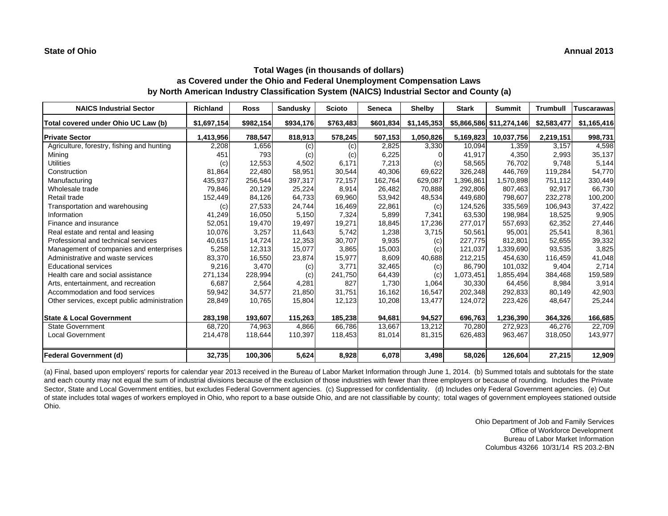| <b>NAICS Industrial Sector</b>               | <b>Richland</b> | <b>Ross</b> | <b>Sandusky</b> | <b>Scioto</b> | <b>Seneca</b> | <b>Shelby</b> | <b>Stark</b> | <b>Summit</b>            | <b>Trumbull</b> | <b>Tuscarawas</b> |
|----------------------------------------------|-----------------|-------------|-----------------|---------------|---------------|---------------|--------------|--------------------------|-----------------|-------------------|
| Total covered under Ohio UC Law (b)          | \$1,697,154     | \$982,154   | \$934,176       | \$763,483     | \$601,834     | \$1,145,353   |              | \$5,866,586 \$11,274,146 | \$2,583,477     | \$1,165,416       |
| <b>Private Sector</b>                        | 1,413,956       | 788,547     | 818,913         | 578,245       | 507,153       | 1,050,826     | 5,169,823    | 10,037,756               | 2,219,151       | 998,731           |
| Agriculture, forestry, fishing and hunting   | 2,208           | 1,656       | (c)             | (c)           | 2,825         | 3.330         | 10,094       | 1,359                    | 3.157           | 4,598             |
| Mining                                       | 451             | 793         | (c)             | (c)           | 6,225         |               | 41,917       | 4,350                    | 2,993           | 35,137            |
| <b>Utilities</b>                             | (c)             | 12,553      | 4,502           | 6,171         | 7,213         | (c)           | 58,565       | 76,702                   | 9,748           | 5,144             |
| Construction                                 | 81,864          | 22,480      | 58,951          | 30,544        | 40,306        | 69,622        | 326,248      | 446.769                  | 119,284         | 54,770            |
| Manufacturing                                | 435,937         | 256,544     | 397,317         | 72,157        | 162,764       | 629,087       | 1,396,861    | 1,570,898                | 751,112         | 330,449           |
| Wholesale trade                              | 79,846          | 20,129      | 25,224          | 8,914         | 26,482        | 70,888        | 292,806      | 807,463                  | 92,917          | 66,730            |
| Retail trade                                 | 152,449         | 84,126      | 64,733          | 69,960        | 53,942        | 48,534        | 449.680      | 798,607                  | 232,278         | 100,200           |
| Transportation and warehousing               | (c)             | 27,533      | 24,744          | 16,469        | 22,861        | (c)           | 124,526      | 335,569                  | 106,943         | 37,422            |
| Information                                  | 41,249          | 16,050      | 5,150           | 7.324         | 5,899         | 7,341         | 63.530       | 198.984                  | 18,525          | 9,905             |
| Finance and insurance                        | 52,051          | 19,470      | 19,497          | 19,271        | 18,845        | 17,236        | 277,017      | 557,693                  | 62,352          | 27,446            |
| Real estate and rental and leasing           | 10,076          | 3,257       | 11,643          | 5,742         | 1,238         | 3,715         | 50,561       | 95,001                   | 25,541          | 8,361             |
| Professional and technical services          | 40,615          | 14,724      | 12,353          | 30,707        | 9,935         | (c)           | 227,775      | 812,801                  | 52,655          | 39,332            |
| Management of companies and enterprises      | 5,258           | 12,313      | 15,077          | 3,865         | 15,003        | (c)           | 121,037      | 1,339,690                | 93,535          | 3,825             |
| Administrative and waste services            | 83,370          | 16,550      | 23,874          | 15,977        | 8,609         | 40,688        | 212,215      | 454,630                  | 116,459         | 41,048            |
| <b>Educational services</b>                  | 9,216           | 3,470       | (c)             | 3.771         | 32,465        | (c)           | 86.790       | 101,032                  | 9,404           | 2,714             |
| Health care and social assistance            | 271,134         | 228,994     | (c)             | 241,750       | 64,439        | (c)           | 1,073,451    | 1,855,494                | 384,468         | 159,589           |
| Arts, entertainment, and recreation          | 6,687           | 2,564       | 4,281           | 827           | 1,730         | 1,064         | 30,330       | 64,456                   | 8,984           | 3,914             |
| Accommodation and food services              | 59,942          | 34,577      | 21,850          | 31,751        | 16,162        | 16,547        | 202,348      | 292,833                  | 80,149          | 42,903            |
| Other services, except public administration | 28,849          | 10,765      | 15,804          | 12,123        | 10,208        | 13,477        | 124,072      | 223,426                  | 48,647          | 25,244            |
| <b>State &amp; Local Government</b>          | 283,198         | 193,607     | 115,263         | 185,238       | 94,681        | 94,527        | 696,763      | 1,236,390                | 364,326         | 166,685           |
| <b>State Government</b>                      | 68,720          | 74,963      | 4,866           | 66,786        | 13,667        | 13,212        | 70,280       | 272,923                  | 46,276          | 22,709            |
| <b>Local Government</b>                      | 214,478         | 118,644     | 110,397         | 118,453       | 81,014        | 81,315        | 626,483      | 963,467                  | 318,050         | 143,977           |
| <b>Federal Government (d)</b>                | 32,735          | 100,306     | 5,624           | 8,928         | 6,078         | 3,498         | 58,026       | 126,604                  | 27,215          | 12,909            |

(a) Final, based upon employers' reports for calendar year 2013 received in the Bureau of Labor Market Information through June 1, 2014. (b) Summed totals and subtotals for the state and each county may not equal the sum of industrial divisions because of the exclusion of those industries with fewer than three employers or because of rounding. Includes the Private Sector, State and Local Government entities, but excludes Federal Government agencies. (c) Suppressed for confidentiality. (d) Includes only Federal Government agencies. (e) Out of state includes total wages of workers employed in Ohio, who report to a base outside Ohio, and are not classifiable by county; total wages of government employees stationed outside Ohio.